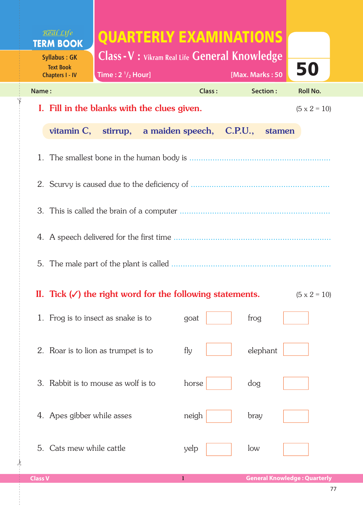| Real Life<br><b>TERM BOOK</b><br><b>Syllabus: GK</b>                                        | QUARTERLY EXAMINATIONS<br><b>Class - V : Vikram Real Life General Knowledge</b> |        |                 |                     |  |  |  |  |  |
|---------------------------------------------------------------------------------------------|---------------------------------------------------------------------------------|--------|-----------------|---------------------|--|--|--|--|--|
| <b>Text Book</b><br><b>Chapters I - IV</b>                                                  | Time: $2 \frac{1}{2}$ Hour]                                                     |        | [Max. Marks: 50 | 50                  |  |  |  |  |  |
| Name:                                                                                       |                                                                                 | Class: | Section:        | <b>Roll No.</b>     |  |  |  |  |  |
|                                                                                             | I. Fill in the blanks with the clues given.                                     |        |                 | $(5 \times 2 = 10)$ |  |  |  |  |  |
| vitamin $C$ ,                                                                               | stirrup, a maiden speech, C.P.U.,                                               |        | stamen          |                     |  |  |  |  |  |
|                                                                                             |                                                                                 |        |                 |                     |  |  |  |  |  |
|                                                                                             |                                                                                 |        |                 |                     |  |  |  |  |  |
|                                                                                             |                                                                                 |        |                 |                     |  |  |  |  |  |
|                                                                                             |                                                                                 |        |                 |                     |  |  |  |  |  |
|                                                                                             |                                                                                 |        |                 |                     |  |  |  |  |  |
| II. Tick $(\checkmark)$ the right word for the following statements.<br>$(5 \times 2 = 10)$ |                                                                                 |        |                 |                     |  |  |  |  |  |
|                                                                                             | 1. Frog is to insect as snake is to                                             | goat   | frog            |                     |  |  |  |  |  |
|                                                                                             | 2. Roar is to lion as trumpet is to                                             | fly    | elephant        |                     |  |  |  |  |  |
|                                                                                             | 3. Rabbit is to mouse as wolf is to                                             | horse  | dog             |                     |  |  |  |  |  |
| 4. Apes gibber while asses                                                                  |                                                                                 | neigh  | bray            |                     |  |  |  |  |  |
| Cats mew while cattle<br>5.                                                                 |                                                                                 | yelp   | low             |                     |  |  |  |  |  |

 $\frac{1}{2}$ 

ل